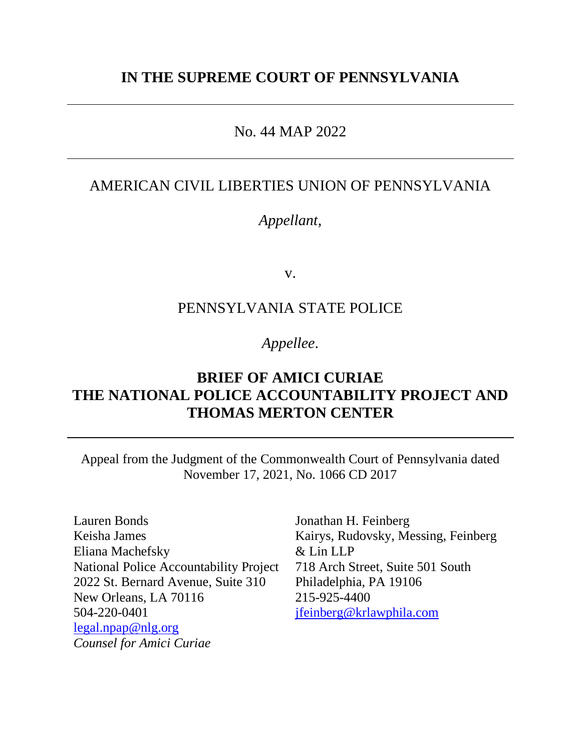# **IN THE SUPREME COURT OF PENNSYLVANIA**

## No. 44 MAP 2022

## AMERICAN CIVIL LIBERTIES UNION OF PENNSYLVANIA

# *Appellant*,

v.

### PENNSYLVANIA STATE POLICE

# *Appellee*.

# **BRIEF OF AMICI CURIAE THE NATIONAL POLICE ACCOUNTABILITY PROJECT AND THOMAS MERTON CENTER**

Appeal from the Judgment of the Commonwealth Court of Pennsylvania dated November 17, 2021, No. 1066 CD 2017

Lauren Bonds Keisha James Eliana Machefsky National Police Accountability Project 2022 St. Bernard Avenue, Suite 310 New Orleans, LA 70116 504-220-0401 [legal.npap@nlg.org](mailto:legal.npap@nlg.org) *Counsel for Amici Curiae* 

Jonathan H. Feinberg Kairys, Rudovsky, Messing, Feinberg & Lin LLP 718 Arch Street, Suite 501 South Philadelphia, PA 19106 215-925-4400 [jfeinberg@krlawphila.com](mailto:jfeinberg@krlawphila.com)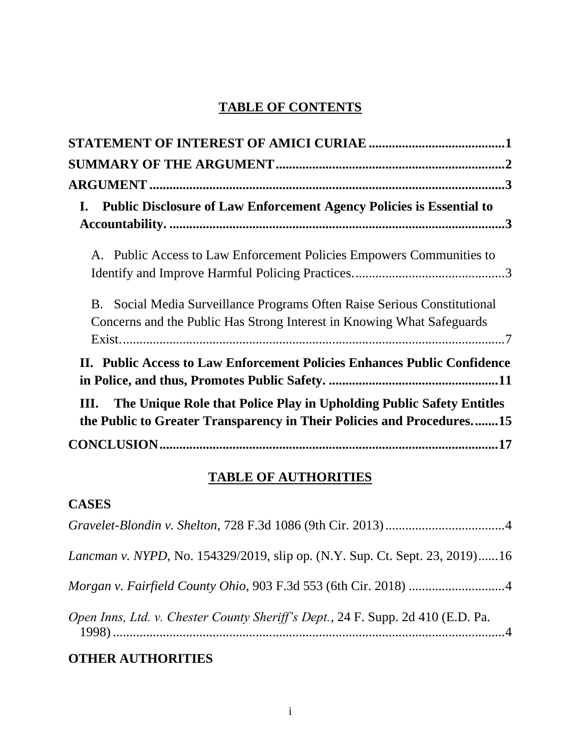# **TABLE OF CONTENTS**

| <b>Public Disclosure of Law Enforcement Agency Policies is Essential to</b><br>$\mathbf{I}$ .                                                                 |
|---------------------------------------------------------------------------------------------------------------------------------------------------------------|
|                                                                                                                                                               |
| A. Public Access to Law Enforcement Policies Empowers Communities to                                                                                          |
|                                                                                                                                                               |
| Social Media Surveillance Programs Often Raise Serious Constitutional<br><b>B</b> .<br>Concerns and the Public Has Strong Interest in Knowing What Safeguards |
|                                                                                                                                                               |
| II. Public Access to Law Enforcement Policies Enhances Public Confidence                                                                                      |
| The Unique Role that Police Play in Upholding Public Safety Entitles<br>Ш.<br>the Public to Greater Transparency in Their Policies and Procedures15           |
|                                                                                                                                                               |

# **TABLE OF AUTHORITIES**

# **CASES**

| Lancman v. NYPD, No. 154329/2019, slip op. (N.Y. Sup. Ct. Sept. 23, 2019)16     |
|---------------------------------------------------------------------------------|
|                                                                                 |
| Open Inns, Ltd. v. Chester County Sheriff's Dept., 24 F. Supp. 2d 410 (E.D. Pa. |

# **OTHER AUTHORITIES**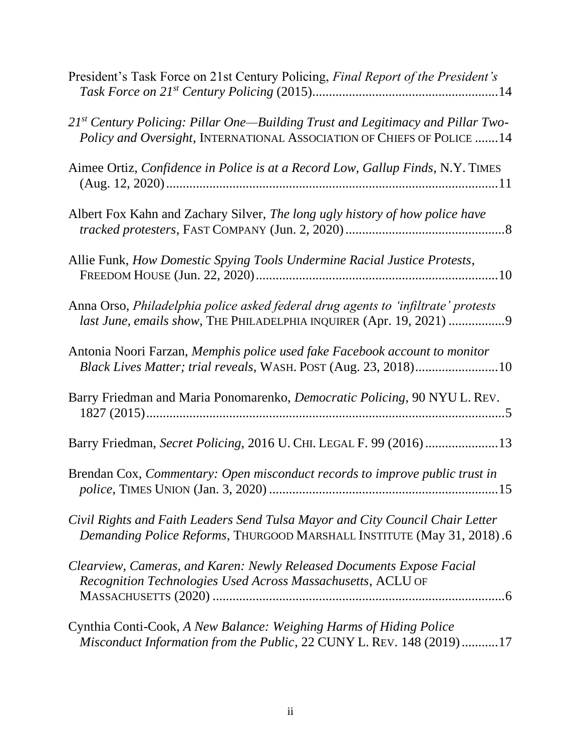| President's Task Force on 21st Century Policing, Final Report of the President's                                                                                |
|-----------------------------------------------------------------------------------------------------------------------------------------------------------------|
| $21^{st}$ Century Policing: Pillar One—Building Trust and Legitimacy and Pillar Two-<br>Policy and Oversight, INTERNATIONAL ASSOCIATION OF CHIEFS OF POLICE  14 |
| Aimee Ortiz, Confidence in Police is at a Record Low, Gallup Finds, N.Y. TIMES                                                                                  |
| Albert Fox Kahn and Zachary Silver, The long ugly history of how police have                                                                                    |
| Allie Funk, How Domestic Spying Tools Undermine Racial Justice Protests,                                                                                        |
| Anna Orso, Philadelphia police asked federal drug agents to 'infiltrate' protests<br>last June, emails show, THE PHILADELPHIA INQUIRER (Apr. 19, 2021) 9        |
| Antonia Noori Farzan, Memphis police used fake Facebook account to monitor<br>Black Lives Matter; trial reveals, WASH. POST (Aug. 23, 2018)10                   |
| Barry Friedman and Maria Ponomarenko, Democratic Policing, 90 NYU L. REV.                                                                                       |
| Barry Friedman, Secret Policing, 2016 U. CHI. LEGAL F. 99 (2016)13                                                                                              |
| Brendan Cox, Commentary: Open misconduct records to improve public trust in                                                                                     |
| Civil Rights and Faith Leaders Send Tulsa Mayor and City Council Chair Letter<br>Demanding Police Reforms, THURGOOD MARSHALL INSTITUTE (May 31, 2018).6         |
| Clearview, Cameras, and Karen: Newly Released Documents Expose Facial<br>Recognition Technologies Used Across Massachusetts, ACLU OF                            |
| Cynthia Conti-Cook, A New Balance: Weighing Harms of Hiding Police<br>Misconduct Information from the Public, 22 CUNY L. REV. 148 (2019)17                      |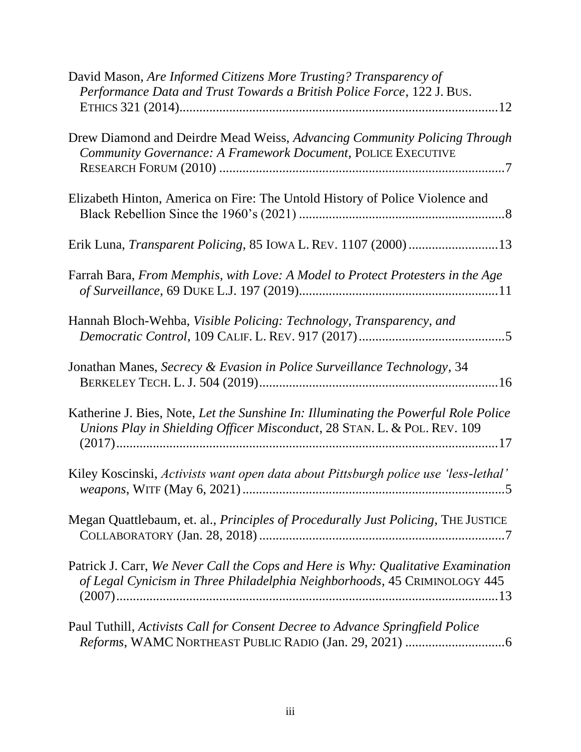| David Mason, Are Informed Citizens More Trusting? Transparency of<br>Performance Data and Trust Towards a British Police Force, 122 J. BUS.                     |
|-----------------------------------------------------------------------------------------------------------------------------------------------------------------|
| Drew Diamond and Deirdre Mead Weiss, Advancing Community Policing Through<br>Community Governance: A Framework Document, POLICE EXECUTIVE                       |
| Elizabeth Hinton, America on Fire: The Untold History of Police Violence and                                                                                    |
|                                                                                                                                                                 |
| Farrah Bara, From Memphis, with Love: A Model to Protect Protesters in the Age                                                                                  |
| Hannah Bloch-Wehba, Visible Policing: Technology, Transparency, and                                                                                             |
| Jonathan Manes, Secrecy & Evasion in Police Surveillance Technology, 34                                                                                         |
| Katherine J. Bies, Note, Let the Sunshine In: Illuminating the Powerful Role Police<br>Unions Play in Shielding Officer Misconduct, 28 STAN. L. & POL. REV. 109 |
| Kiley Koscinski, Activists want open data about Pittsburgh police use 'less-lethal'                                                                             |
| Megan Quattlebaum, et. al., Principles of Procedurally Just Policing, THE JUSTICE                                                                               |
| Patrick J. Carr, We Never Call the Cops and Here is Why: Qualitative Examination<br>of Legal Cynicism in Three Philadelphia Neighborhoods, 45 CRIMINOLOGY 445   |
| Paul Tuthill, Activists Call for Consent Decree to Advance Springfield Police                                                                                   |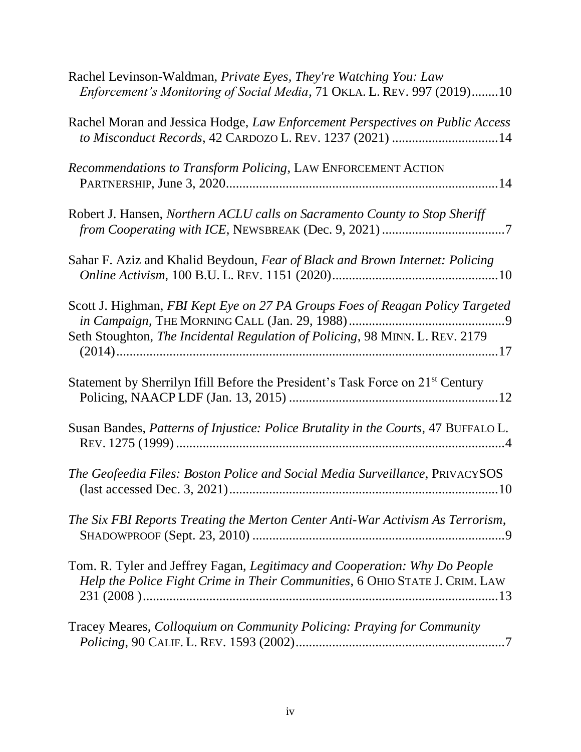| Rachel Levinson-Waldman, Private Eyes, They're Watching You: Law<br>Enforcement's Monitoring of Social Media, 71 OKLA. L. REV. 997 (2019)10                   |
|---------------------------------------------------------------------------------------------------------------------------------------------------------------|
| Rachel Moran and Jessica Hodge, Law Enforcement Perspectives on Public Access<br>to Misconduct Records, 42 CARDOZO L. REV. 1237 (2021) 14                     |
| Recommendations to Transform Policing, LAW ENFORCEMENT ACTION                                                                                                 |
| Robert J. Hansen, Northern ACLU calls on Sacramento County to Stop Sheriff                                                                                    |
| Sahar F. Aziz and Khalid Beydoun, Fear of Black and Brown Internet: Policing                                                                                  |
| Scott J. Highman, FBI Kept Eye on 27 PA Groups Foes of Reagan Policy Targeted<br>Seth Stoughton, The Incidental Regulation of Policing, 98 MINN. L. REV. 2179 |
| Statement by Sherrilyn Ifill Before the President's Task Force on 21 <sup>st</sup> Century                                                                    |
| Susan Bandes, Patterns of Injustice: Police Brutality in the Courts, 47 BUFFALO L.                                                                            |
| The Geofeedia Files: Boston Police and Social Media Surveillance, PRIVACYSOS                                                                                  |
| The Six FBI Reports Treating the Merton Center Anti-War Activism As Terrorism,                                                                                |
| Tom. R. Tyler and Jeffrey Fagan, Legitimacy and Cooperation: Why Do People<br>Help the Police Fight Crime in Their Communities, 6 OHIO STATE J. CRIM. LAW     |
| Tracey Meares, Colloquium on Community Policing: Praying for Community                                                                                        |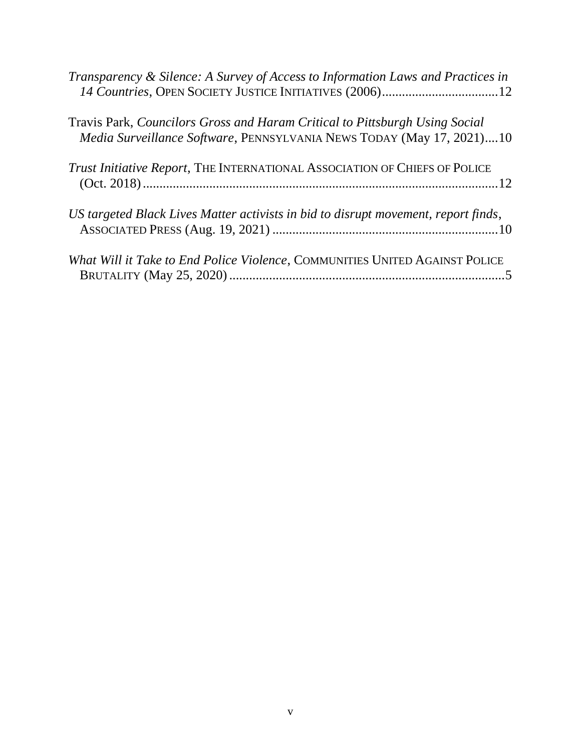| Transparency & Silence: A Survey of Access to Information Laws and Practices in<br>14 Countries, OPEN SOCIETY JUSTICE INITIATIVES (2006)12           |
|------------------------------------------------------------------------------------------------------------------------------------------------------|
| Travis Park, Councilors Gross and Haram Critical to Pittsburgh Using Social<br>Media Surveillance Software, PENNSYLVANIA NEWS TODAY (May 17, 2021)10 |
| Trust Initiative Report, THE INTERNATIONAL ASSOCIATION OF CHIEFS OF POLICE                                                                           |
| US targeted Black Lives Matter activists in bid to disrupt movement, report finds,                                                                   |
| What Will it Take to End Police Violence, COMMUNITIES UNITED AGAINST POLICE                                                                          |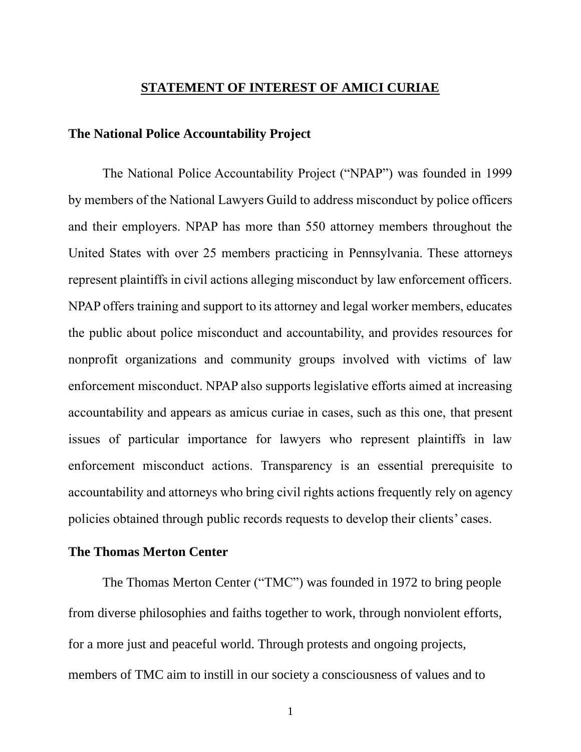#### **STATEMENT OF INTEREST OF AMICI CURIAE**

#### <span id="page-7-0"></span>**The National Police Accountability Project**

The National Police Accountability Project ("NPAP") was founded in 1999 by members of the National Lawyers Guild to address misconduct by police officers and their employers. NPAP has more than 550 attorney members throughout the United States with over 25 members practicing in Pennsylvania. These attorneys represent plaintiffs in civil actions alleging misconduct by law enforcement officers. NPAP offers training and support to its attorney and legal worker members, educates the public about police misconduct and accountability, and provides resources for nonprofit organizations and community groups involved with victims of law enforcement misconduct. NPAP also supports legislative efforts aimed at increasing accountability and appears as amicus curiae in cases, such as this one, that present issues of particular importance for lawyers who represent plaintiffs in law enforcement misconduct actions. Transparency is an essential prerequisite to accountability and attorneys who bring civil rights actions frequently rely on agency policies obtained through public records requests to develop their clients' cases.

#### **The Thomas Merton Center**

The Thomas Merton Center ("TMC") was founded in 1972 to bring people from diverse philosophies and faiths together to work, through nonviolent efforts, for a more just and peaceful world. Through protests and ongoing projects, members of TMC aim to instill in our society a consciousness of values and to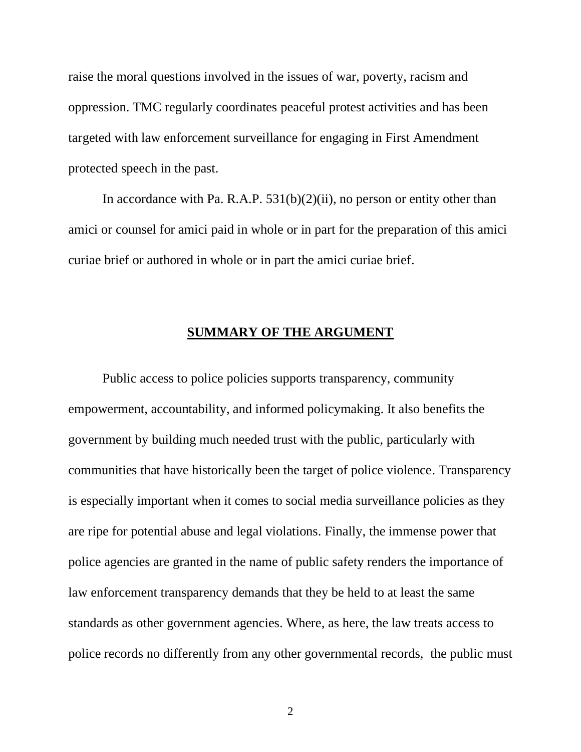raise the moral questions involved in the issues of war, poverty, racism and oppression. TMC regularly coordinates peaceful protest activities and has been targeted with law enforcement surveillance for engaging in First Amendment protected speech in the past.

In accordance with Pa. R.A.P.  $531(b)(2)(ii)$ , no person or entity other than amici or counsel for amici paid in whole or in part for the preparation of this amici curiae brief or authored in whole or in part the amici curiae brief.

#### **SUMMARY OF THE ARGUMENT**

<span id="page-8-0"></span>Public access to police policies supports transparency, community empowerment, accountability, and informed policymaking. It also benefits the government by building much needed trust with the public, particularly with communities that have historically been the target of police violence. Transparency is especially important when it comes to social media surveillance policies as they are ripe for potential abuse and legal violations. Finally, the immense power that police agencies are granted in the name of public safety renders the importance of law enforcement transparency demands that they be held to at least the same standards as other government agencies. Where, as here, the law treats access to police records no differently from any other governmental records, the public must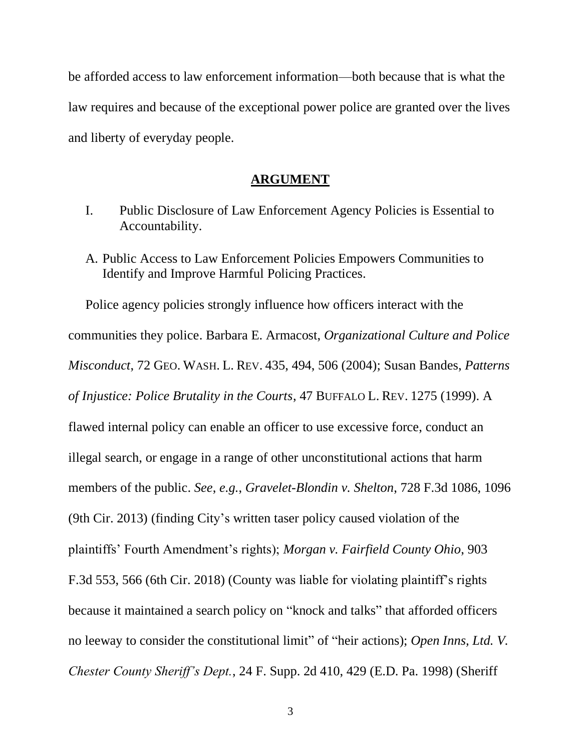be afforded access to law enforcement information—both because that is what the law requires and because of the exceptional power police are granted over the lives and liberty of everyday people.

#### **ARGUMENT**

- <span id="page-9-1"></span><span id="page-9-0"></span>I. Public Disclosure of Law Enforcement Agency Policies is Essential to Accountability.
- <span id="page-9-2"></span>A. Public Access to Law Enforcement Policies Empowers Communities to Identify and Improve Harmful Policing Practices.

Police agency policies strongly influence how officers interact with the communities they police. Barbara E. Armacost, *Organizational Culture and Police Misconduct*, 72 GEO. WASH. L. REV. 435, 494, 506 (2004); Susan Bandes, *Patterns of Injustice: Police Brutality in the Courts*, 47 BUFFALO L. REV. 1275 (1999). A flawed internal policy can enable an officer to use excessive force, conduct an illegal search, or engage in a range of other unconstitutional actions that harm members of the public. *See*, *e.g.*, *Gravelet-Blondin v. Shelton*, 728 F.3d 1086, 1096 (9th Cir. 2013) (finding City's written taser policy caused violation of the plaintiffs' Fourth Amendment's rights); *Morgan v. Fairfield County Ohio*, 903 F.3d 553, 566 (6th Cir. 2018) (County was liable for violating plaintiff's rights because it maintained a search policy on "knock and talks" that afforded officers no leeway to consider the constitutional limit" of "heir actions); *Open Inns, Ltd. V. Chester County Sheriff's Dept.*, 24 F. Supp. 2d 410, 429 (E.D. Pa. 1998) (Sheriff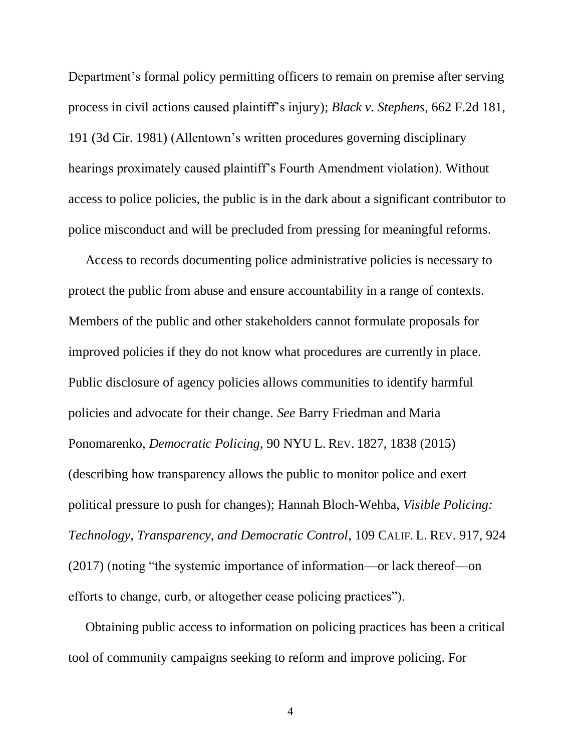Department's formal policy permitting officers to remain on premise after serving process in civil actions caused plaintiff's injury); *Black v. Stephens*, 662 F.2d 181, 191 (3d Cir. 1981) (Allentown's written procedures governing disciplinary hearings proximately caused plaintiff's Fourth Amendment violation). Without access to police policies, the public is in the dark about a significant contributor to police misconduct and will be precluded from pressing for meaningful reforms.

Access to records documenting police administrative policies is necessary to protect the public from abuse and ensure accountability in a range of contexts. Members of the public and other stakeholders cannot formulate proposals for improved policies if they do not know what procedures are currently in place. Public disclosure of agency policies allows communities to identify harmful policies and advocate for their change. *See* Barry Friedman and Maria Ponomarenko, *Democratic Policing*, 90 NYU L. REV. 1827, 1838 (2015) (describing how transparency allows the public to monitor police and exert political pressure to push for changes); Hannah Bloch-Wehba, *Visible Policing: Technology, Transparency, and Democratic Control*, 109 CALIF. L. REV. 917, 924 (2017) (noting "the systemic importance of information—or lack thereof—on efforts to change, curb, or altogether cease policing practices").

Obtaining public access to information on policing practices has been a critical tool of community campaigns seeking to reform and improve policing. For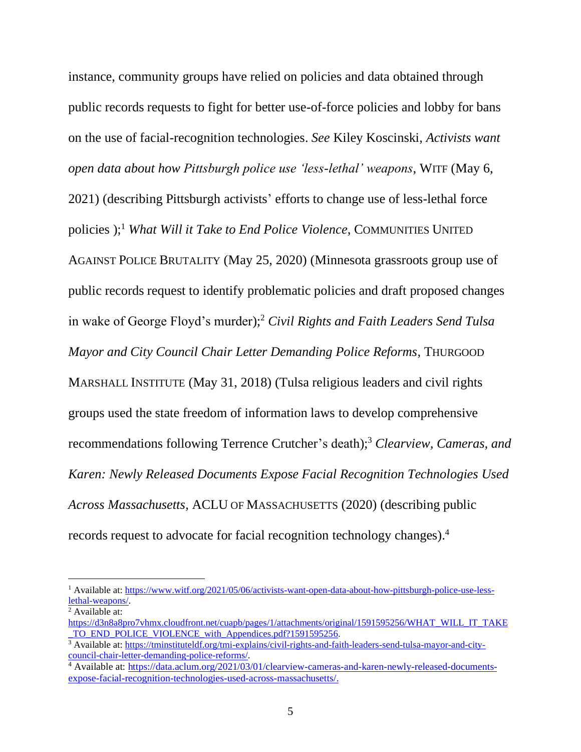instance, community groups have relied on policies and data obtained through public records requests to fight for better use-of-force policies and lobby for bans on the use of facial-recognition technologies. *See* Kiley Koscinski, *Activists want open data about how Pittsburgh police use 'less-lethal' weapons*, WITF (May 6, 2021) (describing Pittsburgh activists' efforts to change use of less-lethal force policies );<sup>1</sup> *What Will it Take to End Police Violence*, COMMUNITIES UNITED AGAINST POLICE BRUTALITY (May 25, 2020) (Minnesota grassroots group use of public records request to identify problematic policies and draft proposed changes in wake of George Floyd's murder);<sup>2</sup> *Civil Rights and Faith Leaders Send Tulsa Mayor and City Council Chair Letter Demanding Police Reforms*, THURGOOD MARSHALL INSTITUTE (May 31, 2018) (Tulsa religious leaders and civil rights groups used the state freedom of information laws to develop comprehensive recommendations following Terrence Crutcher's death);<sup>3</sup> *Clearview, Cameras, and Karen: Newly Released Documents Expose Facial Recognition Technologies Used Across Massachusetts*, ACLU OF MASSACHUSETTS (2020) (describing public records request to advocate for facial recognition technology changes). 4

<sup>&</sup>lt;sup>1</sup> Available at[: https://www.witf.org/2021/05/06/activists-want-open-data-about-how-pittsburgh-police-use-less](https://www.witf.org/2021/05/06/activists-want-open-data-about-how-pittsburgh-police-use-less-lethal-weapons/)[lethal-weapons/.](https://www.witf.org/2021/05/06/activists-want-open-data-about-how-pittsburgh-police-use-less-lethal-weapons/)

<sup>2</sup> Available at:

[https://d3n8a8pro7vhmx.cloudfront.net/cuapb/pages/1/attachments/original/1591595256/WHAT\\_WILL\\_IT\\_TAKE](https://d3n8a8pro7vhmx.cloudfront.net/cuapb/pages/1/attachments/original/1591595256/WHAT_WILL_IT_TAKE_TO_END_POLICE_VIOLENCE_with_Appendices.pdf?1591595256) TO\_END\_POLICE\_VIOLENCE\_with\_Appendices.pdf?1591595256.

<sup>3</sup> Available at[: https://tminstituteldf.org/tmi-explains/civil-rights-and-faith-leaders-send-tulsa-mayor-and-city](https://tminstituteldf.org/tmi-explains/civil-rights-and-faith-leaders-send-tulsa-mayor-and-city-council-chair-letter-demanding-police-reforms/)[council-chair-letter-demanding-police-reforms/.](https://tminstituteldf.org/tmi-explains/civil-rights-and-faith-leaders-send-tulsa-mayor-and-city-council-chair-letter-demanding-police-reforms/) 

<sup>4</sup> Available at[: https://data.aclum.org/2021/03/01/clearview-cameras-and-karen-newly-released-documents](https://data.aclum.org/2021/03/01/clearview-cameras-and-karen-newly-released-documents-expose-facial-recognition-technologies-used-across-massachusetts/)[expose-facial-recognition-technologies-used-across-massachusetts/.](https://data.aclum.org/2021/03/01/clearview-cameras-and-karen-newly-released-documents-expose-facial-recognition-technologies-used-across-massachusetts/)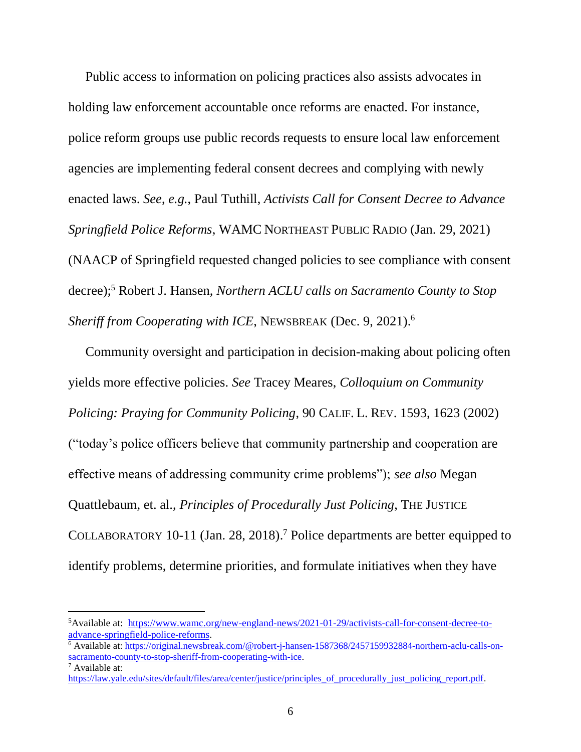Public access to information on policing practices also assists advocates in holding law enforcement accountable once reforms are enacted. For instance, police reform groups use public records requests to ensure local law enforcement agencies are implementing federal consent decrees and complying with newly enacted laws. *See*, *e.g.*, Paul Tuthill, *Activists Call for Consent Decree to Advance Springfield Police Reforms*, WAMC NORTHEAST PUBLIC RADIO (Jan. 29, 2021) (NAACP of Springfield requested changed policies to see compliance with consent decree); <sup>5</sup> Robert J. Hansen, *Northern ACLU calls on Sacramento County to Stop Sheriff from Cooperating with ICE*, NEWSBREAK (Dec. 9, 2021). 6

Community oversight and participation in decision-making about policing often yields more effective policies. *See* Tracey Meares, *Colloquium on Community Policing: Praying for Community Policing*, 90 CALIF. L. REV. 1593, 1623 (2002) ("today's police officers believe that community partnership and cooperation are effective means of addressing community crime problems"); *see also* Megan Quattlebaum, et. al., *Principles of Procedurally Just Policing*, THE JUSTICE COLLABORATORY 10-11 (Jan. 28, 2018). <sup>7</sup> Police departments are better equipped to identify problems, determine priorities, and formulate initiatives when they have

<sup>5</sup>Available at: [https://www.wamc.org/new-england-news/2021-01-29/activists-call-for-consent-decree-to](https://www.wamc.org/new-england-news/2021-01-29/activists-call-for-consent-decree-to-advance-springfield-police-reforms)[advance-springfield-police-reforms.](https://www.wamc.org/new-england-news/2021-01-29/activists-call-for-consent-decree-to-advance-springfield-police-reforms)

<sup>6</sup> Available at[: https://original.newsbreak.com/@robert-j-hansen-1587368/2457159932884-northern-aclu-calls-on](https://original.newsbreak.com/@robert-j-hansen-1587368/2457159932884-northern-aclu-calls-on-sacramento-county-to-stop-sheriff-from-cooperating-with-ice)[sacramento-county-to-stop-sheriff-from-cooperating-with-ice.](https://original.newsbreak.com/@robert-j-hansen-1587368/2457159932884-northern-aclu-calls-on-sacramento-county-to-stop-sheriff-from-cooperating-with-ice)

<sup>7</sup> Available at:

[https://law.yale.edu/sites/default/files/area/center/justice/principles\\_of\\_procedurally\\_just\\_policing\\_report.pdf.](https://law.yale.edu/sites/default/files/area/center/justice/principles_of_procedurally_just_policing_report.pdf)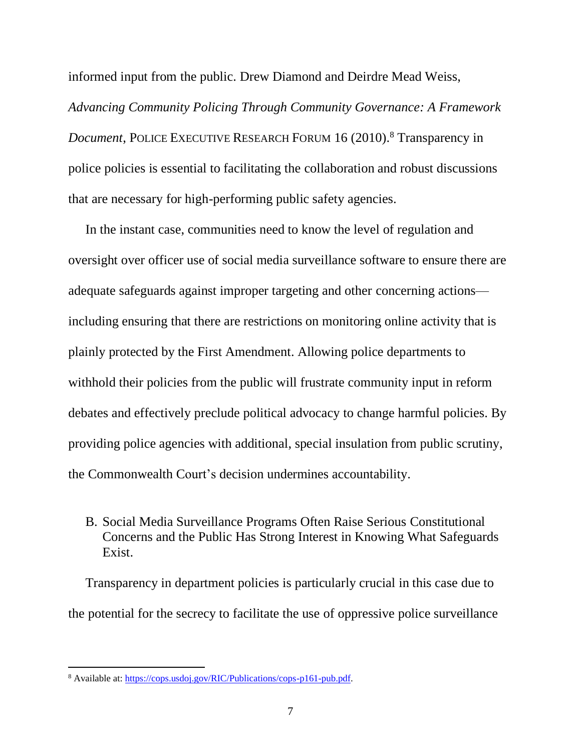informed input from the public. Drew Diamond and Deirdre Mead Weiss,

*Advancing Community Policing Through Community Governance: A Framework Document*, POLICE EXECUTIVE RESEARCH FORUM 16 (2010). <sup>8</sup> Transparency in police policies is essential to facilitating the collaboration and robust discussions that are necessary for high-performing public safety agencies.

In the instant case, communities need to know the level of regulation and oversight over officer use of social media surveillance software to ensure there are adequate safeguards against improper targeting and other concerning actions including ensuring that there are restrictions on monitoring online activity that is plainly protected by the First Amendment. Allowing police departments to withhold their policies from the public will frustrate community input in reform debates and effectively preclude political advocacy to change harmful policies. By providing police agencies with additional, special insulation from public scrutiny, the Commonwealth Court's decision undermines accountability.

## <span id="page-13-0"></span>B. Social Media Surveillance Programs Often Raise Serious Constitutional Concerns and the Public Has Strong Interest in Knowing What Safeguards Exist.

Transparency in department policies is particularly crucial in this case due to the potential for the secrecy to facilitate the use of oppressive police surveillance

<sup>8</sup> Available at[: https://cops.usdoj.gov/RIC/Publications/cops-p161-pub.pdf.](https://cops.usdoj.gov/RIC/Publications/cops-p161-pub.pdf)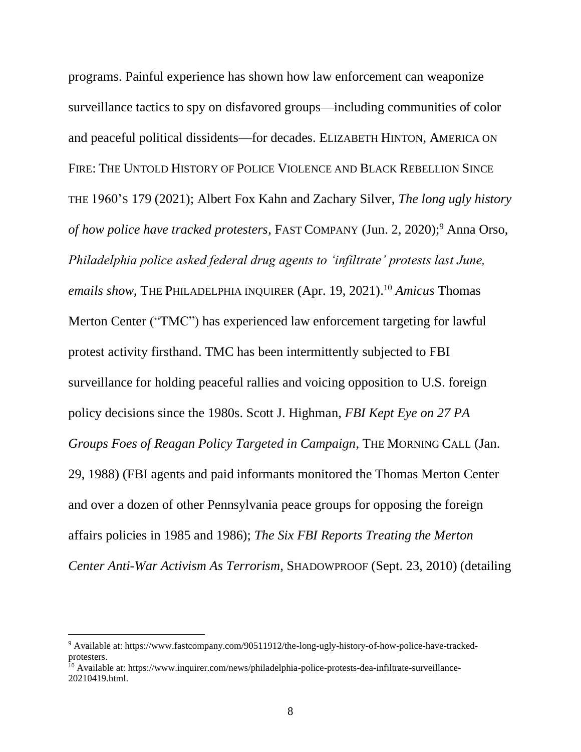programs. Painful experience has shown how law enforcement can weaponize surveillance tactics to spy on disfavored groups—including communities of color and peaceful political dissidents—for decades. ELIZABETH HINTON, AMERICA ON FIRE: THE UNTOLD HISTORY OF POLICE VIOLENCE AND BLACK REBELLION SINCE THE 1960'S 179 (2021); Albert Fox Kahn and Zachary Silver, *The long ugly history of how police have tracked protesters*, FAST COMPANY (Jun. 2, 2020); <sup>9</sup> Anna Orso, *Philadelphia police asked federal drug agents to 'infiltrate' protests last June, emails show*, THE PHILADELPHIA INQUIRER (Apr. 19, 2021). <sup>10</sup> *Amicus* Thomas Merton Center ("TMC") has experienced law enforcement targeting for lawful protest activity firsthand. TMC has been intermittently subjected to FBI surveillance for holding peaceful rallies and voicing opposition to U.S. foreign policy decisions since the 1980s. Scott J. Highman, *FBI Kept Eye on 27 PA Groups Foes of Reagan Policy Targeted in Campaign*, THE MORNING CALL (Jan. 29, 1988) (FBI agents and paid informants monitored the Thomas Merton Center and over a dozen of other Pennsylvania peace groups for opposing the foreign affairs policies in 1985 and 1986); *The Six FBI Reports Treating the Merton Center Anti-War Activism As Terrorism*, SHADOWPROOF (Sept. 23, 2010) (detailing

<sup>9</sup> Available at: https://www.fastcompany.com/90511912/the-long-ugly-history-of-how-police-have-trackedprotesters.

<sup>&</sup>lt;sup>10</sup> Available at: https://www.inquirer.com/news/philadelphia-police-protests-dea-infiltrate-surveillance-20210419.html.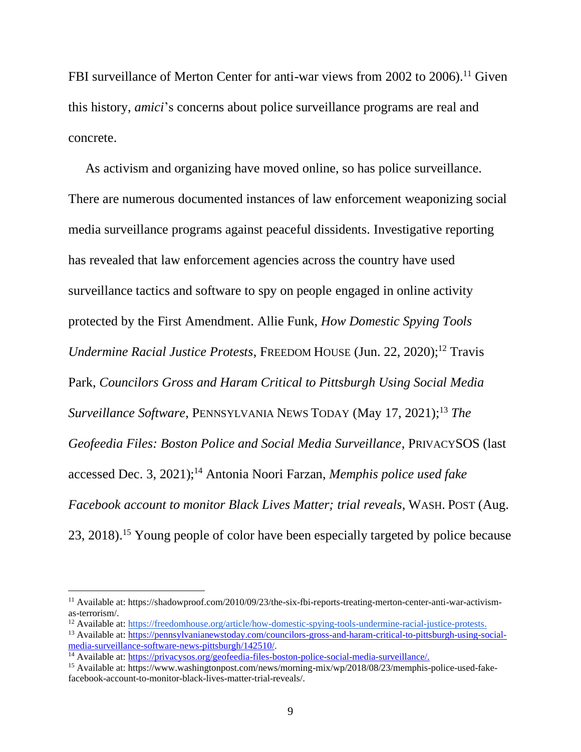FBI surveillance of Merton Center for anti-war views from 2002 to 2006).<sup>11</sup> Given this history, *amici*'s concerns about police surveillance programs are real and concrete.

As activism and organizing have moved online, so has police surveillance. There are numerous documented instances of law enforcement weaponizing social media surveillance programs against peaceful dissidents. Investigative reporting has revealed that law enforcement agencies across the country have used surveillance tactics and software to spy on people engaged in online activity protected by the First Amendment. Allie Funk, *How Domestic Spying Tools Undermine Racial Justice Protests*, FREEDOM HOUSE (Jun. 22, 2020); <sup>12</sup> Travis Park, *Councilors Gross and Haram Critical to Pittsburgh Using Social Media Surveillance Software*, PENNSYLVANIA NEWS TODAY (May 17, 2021); <sup>13</sup> *The Geofeedia Files: Boston Police and Social Media Surveillance*, PRIVACYSOS (last accessed Dec. 3, 2021); <sup>14</sup> Antonia Noori Farzan, *Memphis police used fake Facebook account to monitor Black Lives Matter; trial reveals*, WASH. POST (Aug. 23, 2018).<sup>15</sup> Young people of color have been especially targeted by police because

<sup>&</sup>lt;sup>11</sup> Available at: https://shadowproof.com/2010/09/23/the-six-fbi-reports-treating-merton-center-anti-war-activismas-terrorism/.

<sup>12</sup> Available at: [https://freedomhouse.org/article/how-domestic-spying-tools-undermine-racial-justice-protests.](https://freedomhouse.org/article/how-domestic-spying-tools-undermine-racial-justice-protests)

<sup>13</sup> Available at: [https://pennsylvanianewstoday.com/councilors-gross-and-haram-critical-to-pittsburgh-using-social](https://pennsylvanianewstoday.com/councilors-gross-and-haram-critical-to-pittsburgh-using-social-media-surveillance-software-news-pittsburgh/142510/)[media-surveillance-software-news-pittsburgh/142510/.](https://pennsylvanianewstoday.com/councilors-gross-and-haram-critical-to-pittsburgh-using-social-media-surveillance-software-news-pittsburgh/142510/)

<sup>14</sup> Available at: [https://privacysos.org/geofeedia-files-boston-police-social-media-surveillance/.](https://privacysos.org/geofeedia-files-boston-police-social-media-surveillance/)

<sup>15</sup> Available at: https://www.washingtonpost.com/news/morning-mix/wp/2018/08/23/memphis-police-used-fakefacebook-account-to-monitor-black-lives-matter-trial-reveals/.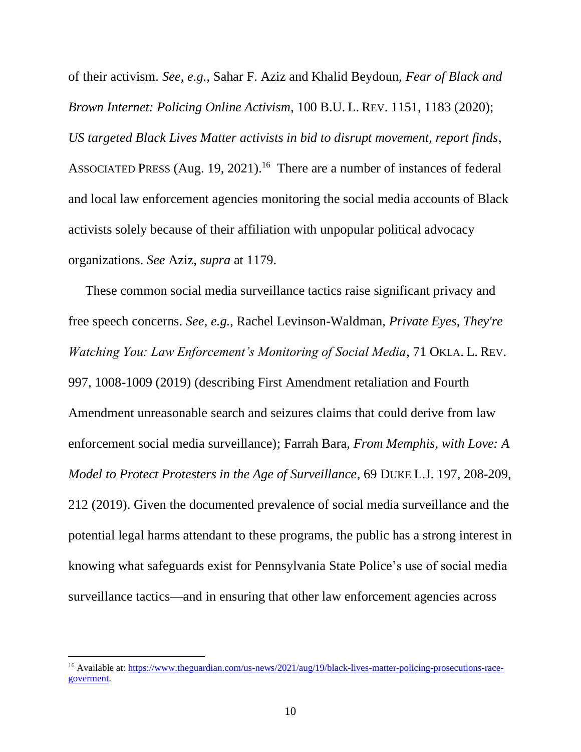of their activism. *See*, *e.g.*, Sahar F. Aziz and Khalid Beydoun, *Fear of Black and Brown Internet: Policing Online Activism*, 100 B.U. L. REV. 1151, 1183 (2020); *US targeted Black Lives Matter activists in bid to disrupt movement, report finds*, ASSOCIATED PRESS (Aug. 19, 2021). <sup>16</sup> There are a number of instances of federal and local law enforcement agencies monitoring the social media accounts of Black activists solely because of their affiliation with unpopular political advocacy organizations. *See* Aziz, *supra* at 1179.

These common social media surveillance tactics raise significant privacy and free speech concerns. *See*, *e.g.*, Rachel Levinson-Waldman, *Private Eyes, They're Watching You: Law Enforcement's Monitoring of Social Media*, 71 OKLA. L. REV. 997, 1008-1009 (2019) (describing First Amendment retaliation and Fourth Amendment unreasonable search and seizures claims that could derive from law enforcement social media surveillance); Farrah Bara, *From Memphis, with Love: A Model to Protect Protesters in the Age of Surveillance*, 69 DUKE L.J. 197, 208-209, 212 (2019). Given the documented prevalence of social media surveillance and the potential legal harms attendant to these programs, the public has a strong interest in knowing what safeguards exist for Pennsylvania State Police's use of social media surveillance tactics—and in ensuring that other law enforcement agencies across

<sup>&</sup>lt;sup>16</sup> Available at: [https://www.theguardian.com/us-news/2021/aug/19/black-lives-matter-policing-prosecutions-race](https://www.theguardian.com/us-news/2021/aug/19/black-lives-matter-policing-prosecutions-race-goverment)[goverment.](https://www.theguardian.com/us-news/2021/aug/19/black-lives-matter-policing-prosecutions-race-goverment)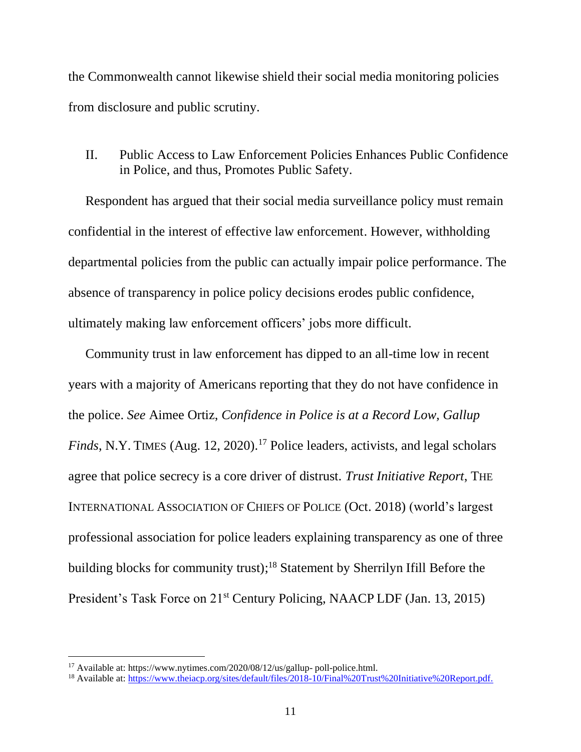the Commonwealth cannot likewise shield their social media monitoring policies from disclosure and public scrutiny.

<span id="page-17-0"></span>II. Public Access to Law Enforcement Policies Enhances Public Confidence in Police, and thus, Promotes Public Safety.

Respondent has argued that their social media surveillance policy must remain confidential in the interest of effective law enforcement. However, withholding departmental policies from the public can actually impair police performance. The absence of transparency in police policy decisions erodes public confidence, ultimately making law enforcement officers' jobs more difficult.

Community trust in law enforcement has dipped to an all-time low in recent years with a majority of Americans reporting that they do not have confidence in the police. *See* Aimee Ortiz, *Confidence in Police is at a Record Low, Gallup Finds*, N.Y. TIMES (Aug. 12, 2020). <sup>17</sup> Police leaders, activists, and legal scholars agree that police secrecy is a core driver of distrust. *Trust Initiative Report*, THE INTERNATIONAL ASSOCIATION OF CHIEFS OF POLICE (Oct. 2018) (world's largest professional association for police leaders explaining transparency as one of three building blocks for community trust); <sup>18</sup> Statement by Sherrilyn Ifill Before the President's Task Force on 21<sup>st</sup> Century Policing, NAACP LDF (Jan. 13, 2015)

<sup>17</sup> Available at: https://www.nytimes.com/2020/08/12/us/gallup- poll-police.html.

<sup>18</sup> Available at: [https://www.theiacp.org/sites/default/files/2018-10/Final%20Trust%20Initiative%20Report.pdf.](https://www.theiacp.org/sites/default/files/2018-10/Final%20Trust%20Initiative%20Report.pdf)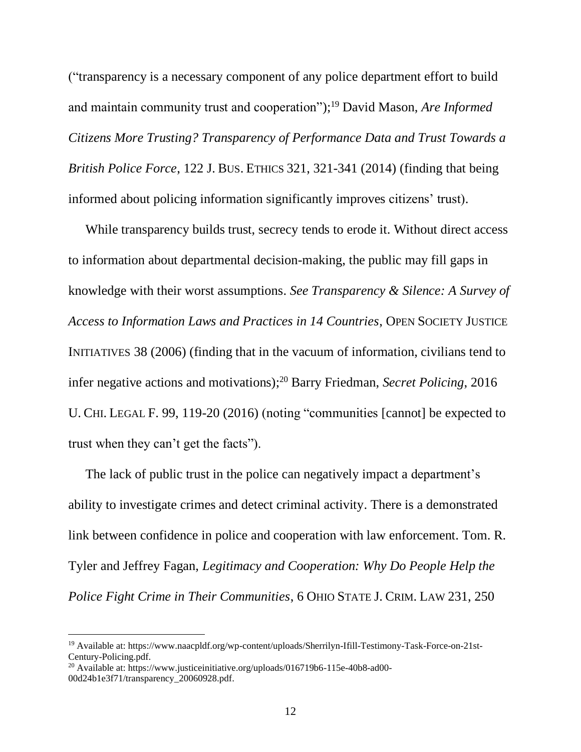("transparency is a necessary component of any police department effort to build and maintain community trust and cooperation"); <sup>19</sup> David Mason, *Are Informed Citizens More Trusting? Transparency of Performance Data and Trust Towards a British Police Force*, 122 J. BUS. ETHICS 321, 321-341 (2014) (finding that being informed about policing information significantly improves citizens' trust).

While transparency builds trust, secrecy tends to erode it. Without direct access to information about departmental decision-making, the public may fill gaps in knowledge with their worst assumptions. *See Transparency & Silence: A Survey of Access to Information Laws and Practices in 14 Countries*, OPEN SOCIETY JUSTICE INITIATIVES 38 (2006) (finding that in the vacuum of information, civilians tend to infer negative actions and motivations); <sup>20</sup> Barry Friedman, *Secret Policing*, 2016 U. CHI. LEGAL F. 99, 119-20 (2016) (noting "communities [cannot] be expected to trust when they can't get the facts").

The lack of public trust in the police can negatively impact a department's ability to investigate crimes and detect criminal activity. There is a demonstrated link between confidence in police and cooperation with law enforcement. Tom. R. Tyler and Jeffrey Fagan, *Legitimacy and Cooperation: Why Do People Help the Police Fight Crime in Their Communities*, 6 OHIO STATE J. CRIM. LAW 231, 250

<sup>19</sup> Available at: https://www.naacpldf.org/wp-content/uploads/Sherrilyn-Ifill-Testimony-Task-Force-on-21st-Century-Policing.pdf.

<sup>&</sup>lt;sup>20</sup> Available at: https://www.justiceinitiative.org/uploads/016719b6-115e-40b8-ad00-00d24b1e3f71/transparency\_20060928.pdf.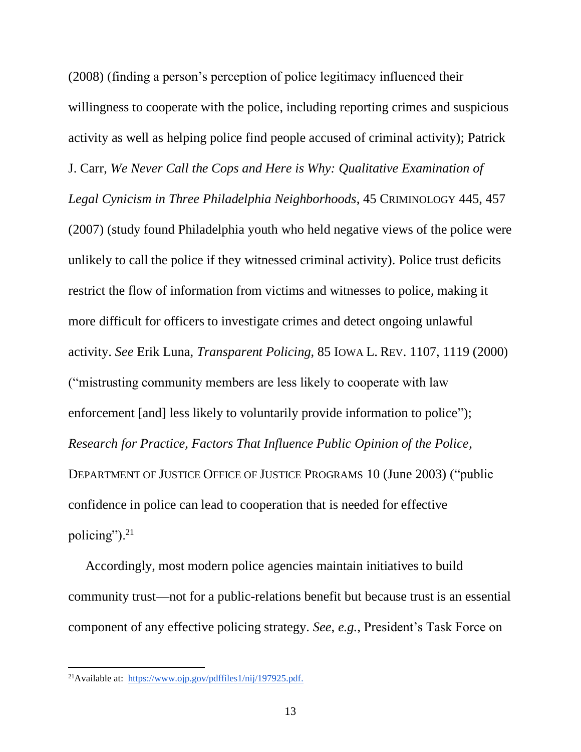(2008) (finding a person's perception of police legitimacy influenced their willingness to cooperate with the police, including reporting crimes and suspicious activity as well as helping police find people accused of criminal activity); Patrick J. Carr, *We Never Call the Cops and Here is Why: Qualitative Examination of Legal Cynicism in Three Philadelphia Neighborhoods*, 45 CRIMINOLOGY 445, 457 (2007) (study found Philadelphia youth who held negative views of the police were unlikely to call the police if they witnessed criminal activity). Police trust deficits restrict the flow of information from victims and witnesses to police, making it more difficult for officers to investigate crimes and detect ongoing unlawful activity. *See* Erik Luna, *Transparent Policing*, 85 IOWA L. REV. 1107, 1119 (2000) ("mistrusting community members are less likely to cooperate with law enforcement [and] less likely to voluntarily provide information to police"); *Research for Practice, Factors That Influence Public Opinion of the Police*, DEPARTMENT OF JUSTICE OFFICE OF JUSTICE PROGRAMS 10 (June 2003) ("public confidence in police can lead to cooperation that is needed for effective policing"). $21$ 

Accordingly, most modern police agencies maintain initiatives to build community trust—not for a public-relations benefit but because trust is an essential component of any effective policing strategy. *See*, *e.g.*, President's Task Force on

<sup>21</sup>Available at: [https://www.ojp.gov/pdffiles1/nij/197925.pdf.](https://www.ojp.gov/pdffiles1/nij/197925.pdf)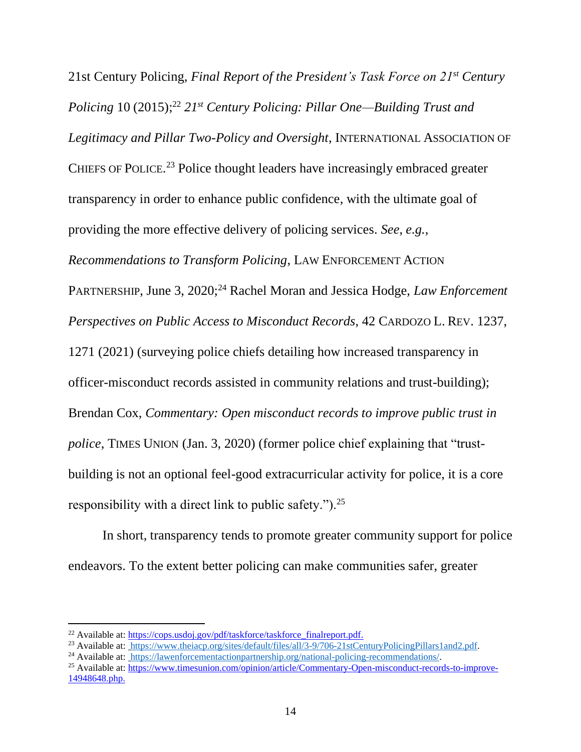21st Century Policing, *Final Report of the President's Task Force on 21st Century Policing* 10 (2015); <sup>22</sup> *21st Century Policing: Pillar One—Building Trust and Legitimacy and Pillar Two-Policy and Oversight*, INTERNATIONAL ASSOCIATION OF CHIEFS OF POLICE.<sup>23</sup> Police thought leaders have increasingly embraced greater transparency in order to enhance public confidence, with the ultimate goal of providing the more effective delivery of policing services. *See*, *e.g.*, *Recommendations to Transform Policing*, LAW ENFORCEMENT ACTION PARTNERSHIP, June 3, 2020;<sup>24</sup> Rachel Moran and Jessica Hodge, *Law Enforcement Perspectives on Public Access to Misconduct Records*, 42 CARDOZO L. REV. 1237, 1271 (2021) (surveying police chiefs detailing how increased transparency in officer-misconduct records assisted in community relations and trust-building); Brendan Cox, *Commentary: Open misconduct records to improve public trust in police*, TIMES UNION (Jan. 3, 2020) (former police chief explaining that "trustbuilding is not an optional feel-good extracurricular activity for police, it is a core responsibility with a direct link to public safety.").<sup>25</sup>

In short, transparency tends to promote greater community support for police endeavors. To the extent better policing can make communities safer, greater

 $^{22}$  Available at: https://cops.usdoi.gov/pdf/taskforce/taskforce\_finalreport.pdf.

<sup>&</sup>lt;sup>23</sup> Available at: [https://www.theiacp.org/sites/default/files/all/3-9/706-21stCenturyPolicingPillars1and2.pdf.](https://www.theiacp.org/sites/default/files/all/3-9/706-21stCenturyPolicingPillars1and2.pdf)

<sup>&</sup>lt;sup>24</sup> Available at: [https://lawenforcementactionpartnership.org/national-policing-recommendations/.](https://lawenforcementactionpartnership.org/national-policing-recommendations/)

<sup>25</sup> Available at: [https://www.timesunion.com/opinion/article/Commentary-Open-misconduct-records-to-improve-](https://www.timesunion.com/opinion/article/Commentary-Open-misconduct-records-to-improve-14948648.php)[14948648.php.](https://www.timesunion.com/opinion/article/Commentary-Open-misconduct-records-to-improve-14948648.php)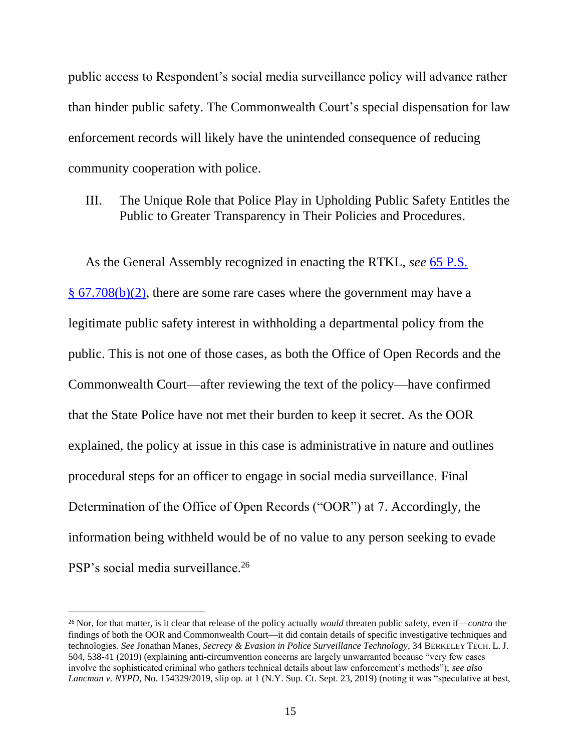public access to Respondent's social media surveillance policy will advance rather than hinder public safety. The Commonwealth Court's special dispensation for law enforcement records will likely have the unintended consequence of reducing community cooperation with police.

<span id="page-21-0"></span>III. The Unique Role that Police Play in Upholding Public Safety Entitles the Public to Greater Transparency in Their Policies and Procedures.

As the General Assembly recognized in enacting the RTKL, *see* [65 P.S.](http://www.westlaw.com/Link/Document/FullText?findType=L&pubNum=1000262&cite=PS65S67.708&originatingDoc=I828a0cb1662311e280719c3f0e80bdd0&refType=SP&originationContext=document&vr=3.0&rs=cblt1.0&transitionType=DocumentItem&contextData=(sc.Default)#co_pp_c0ae00006c482)  § [67.708\(b\)\(2\),](http://www.westlaw.com/Link/Document/FullText?findType=L&pubNum=1000262&cite=PS65S67.708&originatingDoc=I828a0cb1662311e280719c3f0e80bdd0&refType=SP&originationContext=document&vr=3.0&rs=cblt1.0&transitionType=DocumentItem&contextData=(sc.Default)#co_pp_c0ae00006c482) there are some rare cases where the government may have a legitimate public safety interest in withholding a departmental policy from the public. This is not one of those cases, as both the Office of Open Records and the Commonwealth Court—after reviewing the text of the policy—have confirmed that the State Police have not met their burden to keep it secret. As the OOR explained, the policy at issue in this case is administrative in nature and outlines procedural steps for an officer to engage in social media surveillance. Final Determination of the Office of Open Records ("OOR") at 7. Accordingly, the information being withheld would be of no value to any person seeking to evade PSP's social media surveillance.<sup>26</sup>

<sup>26</sup> Nor, for that matter, is it clear that release of the policy actually *would* threaten public safety, even if—*contra* the findings of both the OOR and Commonwealth Court—it did contain details of specific investigative techniques and technologies. *See* Jonathan Manes, *Secrecy & Evasion in Police Surveillance Technology*, 34 BERKELEY TECH. L. J. 504, 538-41 (2019) (explaining anti-circumvention concerns are largely unwarranted because "very few cases involve the sophisticated criminal who gathers technical details about law enforcement's methods"); *see also Lancman v. NYPD*, No. 154329/2019, slip op. at 1 (N.Y. Sup. Ct. Sept. 23, 2019) (noting it was "speculative at best,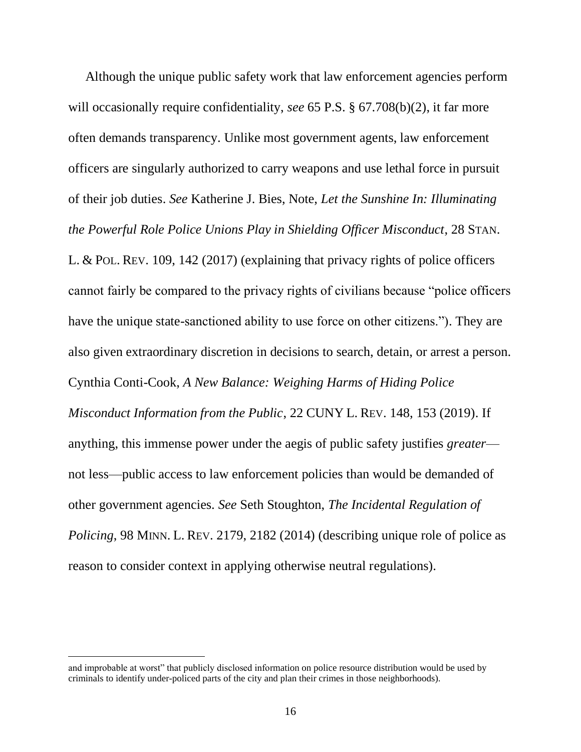Although the unique public safety work that law enforcement agencies perform will occasionally require confidentiality, *see* 65 P.S. § 67.708(b)(2), it far more often demands transparency. Unlike most government agents, law enforcement officers are singularly authorized to carry weapons and use lethal force in pursuit of their job duties. *See* Katherine J. Bies, Note, *Let the Sunshine In: Illuminating the Powerful Role Police Unions Play in Shielding Officer Misconduct*, 28 STAN. L. & POL. REV. 109, 142 (2017) (explaining that privacy rights of police officers cannot fairly be compared to the privacy rights of civilians because "police officers have the unique state-sanctioned ability to use force on other citizens."). They are also given extraordinary discretion in decisions to search, detain, or arrest a person. Cynthia Conti-Cook, *A New Balance: Weighing Harms of Hiding Police Misconduct Information from the Public*, 22 CUNY L. REV. 148, 153 (2019). If anything, this immense power under the aegis of public safety justifies *greater* not less—public access to law enforcement policies than would be demanded of other government agencies. *See* Seth Stoughton, *The Incidental Regulation of Policing*, 98 MINN. L. REV. 2179, 2182 (2014) (describing unique role of police as reason to consider context in applying otherwise neutral regulations).

and improbable at worst" that publicly disclosed information on police resource distribution would be used by criminals to identify under-policed parts of the city and plan their crimes in those neighborhoods).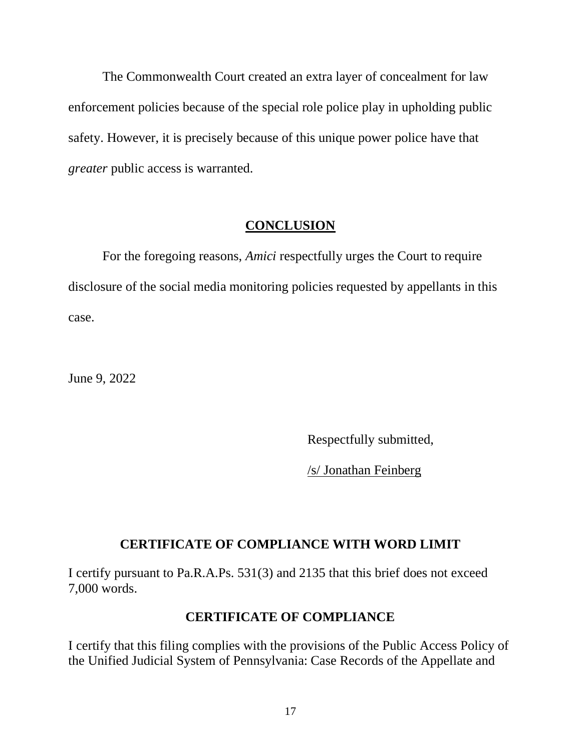The Commonwealth Court created an extra layer of concealment for law enforcement policies because of the special role police play in upholding public safety. However, it is precisely because of this unique power police have that *greater* public access is warranted.

## **CONCLUSION**

<span id="page-23-0"></span>For the foregoing reasons, *Amici* respectfully urges the Court to require disclosure of the social media monitoring policies requested by appellants in this case.

June 9, 2022

Respectfully submitted,

/s/ Jonathan Feinberg

#### **CERTIFICATE OF COMPLIANCE WITH WORD LIMIT**

I certify pursuant to Pa.R.A.Ps. 531(3) and 2135 that this brief does not exceed 7,000 words.

### **CERTIFICATE OF COMPLIANCE**

I certify that this filing complies with the provisions of the Public Access Policy of the Unified Judicial System of Pennsylvania: Case Records of the Appellate and